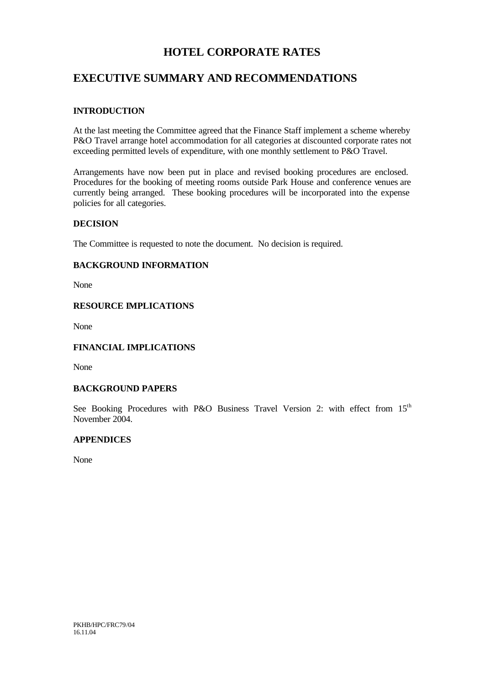# **HOTEL CORPORATE RATES**

# **EXECUTIVE SUMMARY AND RECOMMENDATIONS**

## **INTRODUCTION**

At the last meeting the Committee agreed that the Finance Staff implement a scheme whereby P&O Travel arrange hotel accommodation for all categories at discounted corporate rates not exceeding permitted levels of expenditure, with one monthly settlement to P&O Travel.

Arrangements have now been put in place and revised booking procedures are enclosed. Procedures for the booking of meeting rooms outside Park House and conference venues are currently being arranged. These booking procedures will be incorporated into the expense policies for all categories.

## **DECISION**

The Committee is requested to note the document. No decision is required.

## **BACKGROUND INFORMATION**

None

## **RESOURCE IMPLICATIONS**

None

## **FINANCIAL IMPLICATIONS**

None

## **BACKGROUND PAPERS**

See Booking Procedures with P&O Business Travel Version 2: with effect from 15<sup>th</sup> November 2004.

## **APPENDICES**

None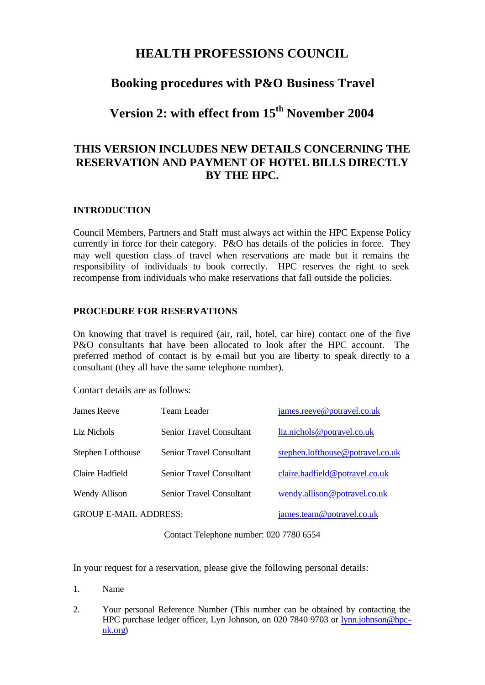# **HEALTH PROFESSIONS COUNCIL**

# **Booking procedures with P&O Business Travel**

**Version 2: with effect from 15th November 2004**

# **THIS VERSION INCLUDES NEW DETAILS CONCERNING THE RESERVATION AND PAYMENT OF HOTEL BILLS DIRECTLY BY THE HPC.**

## **INTRODUCTION**

Council Members, Partners and Staff must always act within the HPC Expense Policy currently in force for their category. P&O has details of the policies in force. They may well question class of travel when reservations are made but it remains the responsibility of individuals to book correctly. HPC reserves the right to seek recompense from individuals who make reservations that fall outside the policies.

## **PROCEDURE FOR RESERVATIONS**

On knowing that travel is required (air, rail, hotel, car hire) contact one of the five P&O consultants that have been allocated to look after the HPC account. The preferred method of contact is by e-mail but you are liberty to speak directly to a consultant (they all have the same telephone number).

Contact details are as follows:

| James Reeve                  | Team Leader                     | james.reeve@potravel.co.uk       |
|------------------------------|---------------------------------|----------------------------------|
| Liz Nichols                  | <b>Senior Travel Consultant</b> | liz.nichols@potravel.co.uk       |
| Stephen Lofthouse            | <b>Senior Travel Consultant</b> | stephen.lofthouse@potravel.co.uk |
| Claire Hadfield              | <b>Senior Travel Consultant</b> | claire.hadfield@potravel.co.uk   |
| Wendy Allison                | <b>Senior Travel Consultant</b> | wendy.allison@potravel.co.uk     |
| <b>GROUP E-MAIL ADDRESS:</b> |                                 | james.team@potravel.co.uk        |

Contact Telephone number: 020 7780 6554

In your request for a reservation, please give the following personal details:

- 1. Name
- 2. Your personal Reference Number (This number can be obtained by contacting the HPC purchase ledger officer, Lyn Johnson, on 020 7840 9703 or lynn.johnson@hpcuk.org)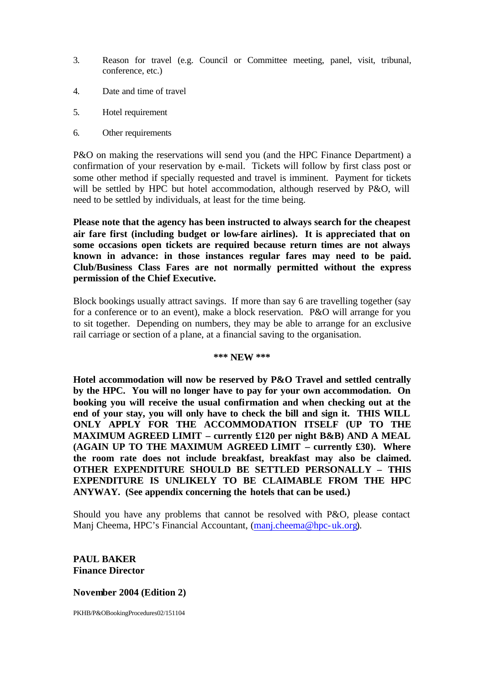- 3. Reason for travel (e.g. Council or Committee meeting, panel, visit, tribunal, conference, etc.)
- 4. Date and time of travel
- 5. Hotel requirement
- 6. Other requirements

P&O on making the reservations will send you (and the HPC Finance Department) a confirmation of your reservation by e-mail. Tickets will follow by first class post or some other method if specially requested and travel is imminent. Payment for tickets will be settled by HPC but hotel accommodation, although reserved by P&O, will need to be settled by individuals, at least for the time being.

**Please note that the agency has been instructed to always search for the cheapest air fare first (including budget or low-fare airlines). It is appreciated that on some occasions open tickets are required because return times are not always known in advance: in those instances regular fares may need to be paid. Club/Business Class Fares are not normally permitted without the express permission of the Chief Executive.**

Block bookings usually attract savings. If more than say 6 are travelling together (say for a conference or to an event), make a block reservation. P&O will arrange for you to sit together. Depending on numbers, they may be able to arrange for an exclusive rail carriage or section of a plane, at a financial saving to the organisation.

#### **\*\*\* NEW \*\*\***

**Hotel accommodation will now be reserved by P&O Travel and settled centrally by the HPC. You will no longer have to pay for your own accommodation. On booking you will receive the usual confirmation and when checking out at the end of your stay, you will only have to check the bill and sign it. THIS WILL ONLY APPLY FOR THE ACCOMMODATION ITSELF (UP TO THE MAXIMUM AGREED LIMIT – currently £120 per night B&B) AND A MEAL (AGAIN UP TO THE MAXIMUM AGREED LIMIT – currently £30). Where the room rate does not include breakfast, breakfast may also be claimed. OTHER EXPENDITURE SHOULD BE SETTLED PERSONALLY – THIS EXPENDITURE IS UNLIKELY TO BE CLAIMABLE FROM THE HPC ANYWAY. (See appendix concerning the hotels that can be used.)**

Should you have any problems that cannot be resolved with P&O, please contact Manj Cheema, HPC's Financial Accountant, (manj.cheema@hpc-uk.org).

## **PAUL BAKER Finance Director**

## **November 2004 (Edition 2)**

PKHB/P&OBookingProcedures02/151104